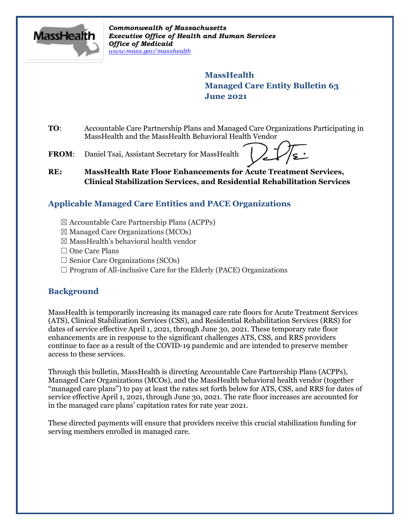

*Commonwealth of Massachusetts Executive Office of Health and Human Services Office of Medicaid [www.mass.gov/masshealth](http://www.mass.gov/masshealth)*

> **MassHealth Managed Care Entity Bulletin 63 June 2021**

- **TO**: Accountable Care Partnership Plans and Managed Care Organizations Participating in MassHealth and the MassHealth Behavioral Health Vendor
- **FROM**: Daniel Tsai, Assistant Secretary for MassHealth

**RE: MassHealth Rate Floor Enhancements for Acute Treatment Services, Clinical Stabilization Services, and Residential Rehabilitation Services**

# **Applicable Managed Care Entities and PACE Organizations**

- ☒ Accountable Care Partnership Plans (ACPPs)
- $\boxtimes$  Managed Care Organizations (MCOs)
- $\boxtimes$  MassHealth's behavioral health vendor
- □ One Care Plans
- $\Box$  Senior Care Organizations (SCOs)
- $\Box$  Program of All-inclusive Care for the Elderly (PACE) Organizations

## **Background**

MassHealth is temporarily increasing its managed care rate floors for Acute Treatment Services (ATS), Clinical Stabilization Services (CSS), and Residential Rehabilitation Services (RRS) for dates of service effective April 1, 2021, through June 30, 2021. These temporary rate floor enhancements are in response to the significant challenges ATS, CSS, and RRS providers continue to face as a result of the COVID-19 pandemic and are intended to preserve member access to these services.

Through this bulletin, MassHealth is directing Accountable Care Partnership Plans (ACPPs), Managed Care Organizations (MCOs), and the MassHealth behavioral health vendor (together "managed care plans") to pay at least the rates set forth below for ATS, CSS, and RRS for dates of service effective April 1, 2021, through June 30, 2021. The rate floor increases are accounted for in the managed care plans' capitation rates for rate year 2021.

These directed payments will ensure that providers receive this crucial stabilization funding for serving members enrolled in managed care.